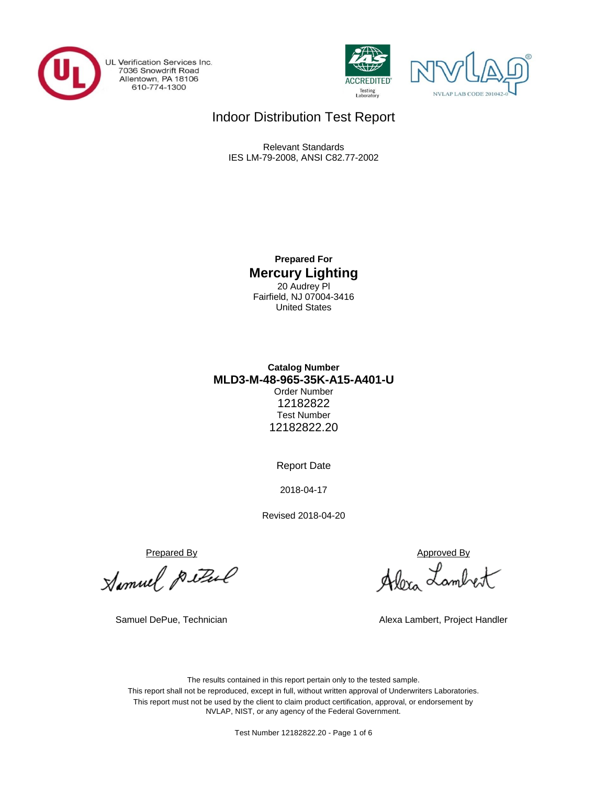

UL Verification Services Inc. 7036 Snowdrift Road<br>Allentown, PA 18106<br>610-774-1300





## Indoor Distribution Test Report

Relevant Standards IES LM-79-2008, ANSI C82.77-2002

> **Prepared For Mercury Lighting** 20 Audrey Pl Fairfield, NJ 07004-3416 United States

### **MLD3-M-48-965-35K-A15-A401-U Catalog Number** Order Number 12182822 Test Number 12182822.20

Report Date

2018-04-17

Revised 2018-04-20

<u>Prepared By</u><br>Alomuel *Puttul* 19 Alon Lamb

Alexa Lambert

Samuel DePue, Technician Alexa Lambert, Project Handler

The results contained in this report pertain only to the tested sample. This report shall not be reproduced, except in full, without written approval of Underwriters Laboratories. This report must not be used by the client to claim product certification, approval, or endorsement by NVLAP, NIST, or any agency of the Federal Government.

Test Number 12182822.20 - Page 1 of 6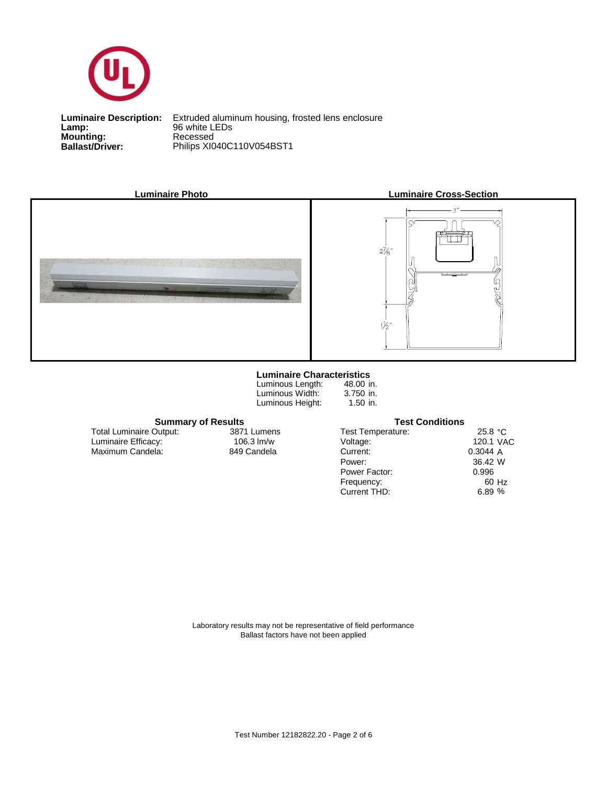

**Lamp:**<br>Mounting:<br>Ballast/Driver:

**Ballast/Driver:** Philips XI040C110V054BST1 **Luminaire Description:** Extruded aluminum housing, frosted lens enclosure **Lamp:** 96 white LEDs



Maximum Candela: 849 Candela

Luminaire Efficacy:

Total Luminaire Output:





#### **Luminaire Characteristics**

Luminous Length: Luminous Width: Luminous Height:

3871 Lumens

48.00 in. 3.750 in. 1.50 in.

**Summary of Results Test Conditions**

Test Temperature:

Power Factor:

Power: Current:

Voltage:

Current THD:

Frequency:

25.8 °C 120.1 VAC A 0.3044 W 36.42 60 Hz % 6.89 0.996

Laboratory results may not be representative of field performance Ballast factors have not been applied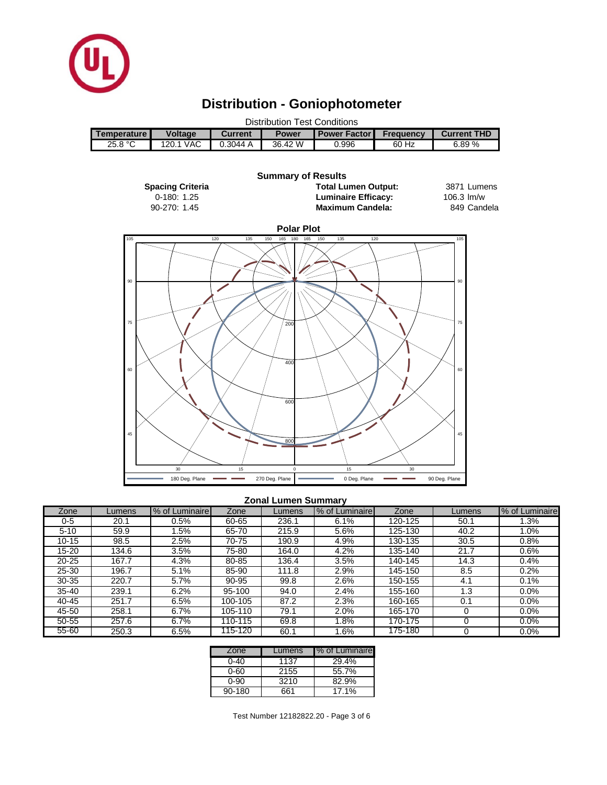

# **Distribution - Goniophotometer**

| Distribution Test Conditions |                |                |              |                       |                  |                    |  |  |
|------------------------------|----------------|----------------|--------------|-----------------------|------------------|--------------------|--|--|
| <b>Temperature I</b>         | <b>Voltage</b> | <b>Current</b> | <b>Power</b> | <b>Power Factor I</b> | <b>Frequency</b> | <b>Current THD</b> |  |  |
| 25.8 °C                      | 120.1 VAC      | 0.3044A        | 36.42 W      | 0.996                 | 60 Hz            | 6.89 %             |  |  |
|                              |                |                |              |                       |                  |                    |  |  |



#### **Zonal Lumen Summary**

| Zone      | _umens | % of Luminaire | Zone    | Lumens | % of Luminaire | Zone    | Lumens | % of Luminaire |
|-----------|--------|----------------|---------|--------|----------------|---------|--------|----------------|
| 0-5       | 20.1   | 0.5%           | 60-65   | 236.1  | 6.1%           | 120-125 | 50.1   | $1.3\%$        |
| $5 - 10$  | 59.9   | .5%            | 65-70   | 215.9  | 5.6%           | 125-130 | 40.2   | 1.0%           |
| $10 - 15$ | 98.5   | 2.5%           | 70-75   | 190.9  | 4.9%           | 130-135 | 30.5   | 0.8%           |
| 15-20     | 134.6  | 3.5%           | 75-80   | 164.0  | 4.2%           | 135-140 | 21.7   | 0.6%           |
| $20 - 25$ | 167.7  | 4.3%           | 80-85   | 136.4  | 3.5%           | 140-145 | 14.3   | 0.4%           |
| $25 - 30$ | 196.7  | 5.1%           | 85-90   | 111.8  | 2.9%           | 145-150 | 8.5    | 0.2%           |
| $30 - 35$ | 220.7  | 5.7%           | 90-95   | 99.8   | 2.6%           | 150-155 | 4.1    | 0.1%           |
| $35 - 40$ | 239.1  | 6.2%           | 95-100  | 94.0   | 2.4%           | 155-160 | 1.3    | $0.0\%$        |
| 40-45     | 251.7  | 6.5%           | 100-105 | 87.2   | 2.3%           | 160-165 | 0.1    | 0.0%           |
| 45-50     | 258.1  | 6.7%           | 105-110 | 79.1   | 2.0%           | 165-170 |        | $0.0\%$        |
| 50-55     | 257.6  | 6.7%           | 110-115 | 69.8   | .8%            | 170-175 |        | 0.0%           |
| $55 - 60$ | 250.3  | 6.5%           | 115-120 | 60.1   | .6%            | 175-180 |        | 0.0%           |

| Zone       | Lumens | % of Luminaire |
|------------|--------|----------------|
| 0-40       | 1137   | 29.4%          |
| 0-60       | 2155   | 55.7%          |
| 0-90       | 3210   | 82.9%          |
| $90 - 180$ | 661    | 17.1%          |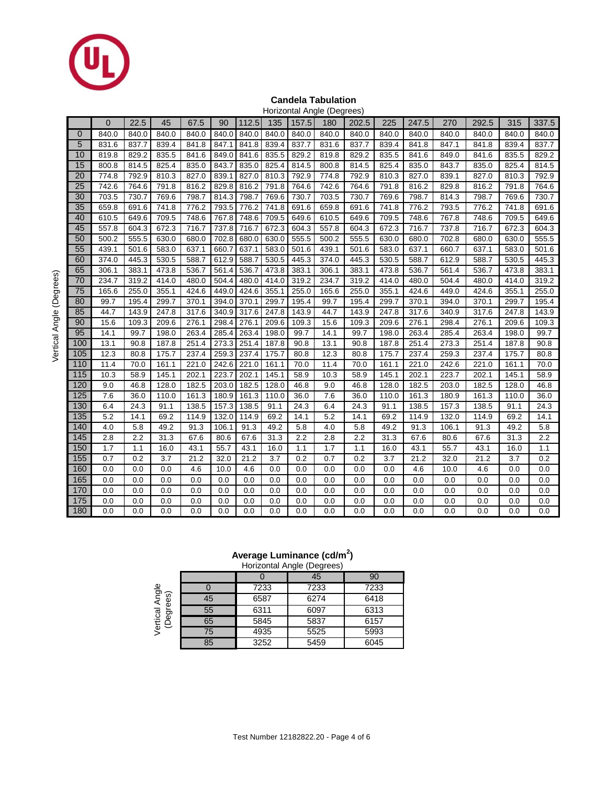

#### **Candela Tabulation**

|     |                |       |       |       |       |       |       |       | Horizontal Angle (Degrees) |       |       |       |       |       |       |       |
|-----|----------------|-------|-------|-------|-------|-------|-------|-------|----------------------------|-------|-------|-------|-------|-------|-------|-------|
|     | $\overline{0}$ | 22.5  | 45    | 67.5  | 90    | 112.5 | 135   | 157.5 | 180                        | 202.5 | 225   | 247.5 | 270   | 292.5 | 315   | 337.5 |
| 0   | 840.0          | 840.0 | 840.0 | 840.0 | 840.0 | 840.0 | 840.0 | 840.0 | 840.0                      | 840.0 | 840.0 | 840.0 | 840.0 | 840.0 | 840.0 | 840.0 |
| 5   | 831.6          | 837.7 | 839.4 | 841.8 | 847.1 | 841.8 | 839.4 | 837.7 | 831.6                      | 837.7 | 839.4 | 841.8 | 847.1 | 841.8 | 839.4 | 837.7 |
| 10  | 819.8          | 829.2 | 835.5 | 841.6 | 849.0 | 841.6 | 835.5 | 829.2 | 819.8                      | 829.2 | 835.5 | 841.6 | 849.0 | 841.6 | 835.5 | 829.2 |
| 15  | 800.8          | 814.5 | 825.4 | 835.0 | 843.7 | 835.0 | 825.4 | 814.5 | 800.8                      | 814.5 | 825.4 | 835.0 | 843.7 | 835.0 | 825.4 | 814.5 |
| 20  | 774.8          | 792.9 | 810.3 | 827.0 | 839.1 | 827.0 | 810.3 | 792.9 | 774.8                      | 792.9 | 810.3 | 827.0 | 839.1 | 827.0 | 810.3 | 792.9 |
| 25  | 742.6          | 764.6 | 791.8 | 816.2 | 829.8 | 816.2 | 791.8 | 764.6 | 742.6                      | 764.6 | 791.8 | 816.2 | 829.8 | 816.2 | 791.8 | 764.6 |
| 30  | 703.5          | 730.7 | 769.6 | 798.7 | 814.3 | 798.7 | 769.6 | 730.7 | 703.5                      | 730.7 | 769.6 | 798.7 | 814.3 | 798.7 | 769.6 | 730.7 |
| 35  | 659.8          | 691.6 | 741.8 | 776.2 | 793.5 | 776.2 | 741.8 | 691.6 | 659.8                      | 691.6 | 741.8 | 776.2 | 793.5 | 776.2 | 741.8 | 691.6 |
| 40  | 610.5          | 649.6 | 709.5 | 748.6 | 767.8 | 748.6 | 709.5 | 649.6 | 610.5                      | 649.6 | 709.5 | 748.6 | 767.8 | 748.6 | 709.5 | 649.6 |
| 45  | 557.8          | 604.3 | 672.3 | 716.7 | 737.8 | 716.7 | 672.3 | 604.3 | 557.8                      | 604.3 | 672.3 | 716.7 | 737.8 | 716.7 | 672.3 | 604.3 |
| 50  | 500.2          | 555.5 | 630.0 | 680.0 | 702.8 | 680.0 | 630.0 | 555.5 | 500.2                      | 555.5 | 630.0 | 680.0 | 702.8 | 680.0 | 630.0 | 555.5 |
| 55  | 439.1          | 501.6 | 583.0 | 637.1 | 660.7 | 637.1 | 583.0 | 501.6 | 439.1                      | 501.6 | 583.0 | 637.1 | 660.7 | 637.1 | 583.0 | 501.6 |
| 60  | 374.0          | 445.3 | 530.5 | 588.7 | 612.9 | 588.7 | 530.5 | 445.3 | 374.0                      | 445.3 | 530.5 | 588.7 | 612.9 | 588.7 | 530.5 | 445.3 |
| 65  | 306.1          | 383.1 | 473.8 | 536.7 | 561.4 | 536.7 | 473.8 | 383.1 | 306.1                      | 383.1 | 473.8 | 536.7 | 561.4 | 536.7 | 473.8 | 383.1 |
| 70  | 234.7          | 319.2 | 414.0 | 480.0 | 504.4 | 480.0 | 414.0 | 319.2 | 234.7                      | 319.2 | 414.0 | 480.0 | 504.4 | 480.0 | 414.0 | 319.2 |
| 75  | 165.6          | 255.0 | 355.1 | 424.6 | 449.0 | 424.6 | 355.1 | 255.0 | 165.6                      | 255.0 | 355.1 | 424.6 | 449.0 | 424.6 | 355.1 | 255.0 |
| 80  | 99.7           | 195.4 | 299.7 | 370.1 | 394.0 | 370.1 | 299.7 | 195.4 | 99.7                       | 195.4 | 299.7 | 370.1 | 394.0 | 370.1 | 299.7 | 195.4 |
| 85  | 44.7           | 143.9 | 247.8 | 317.6 | 340.9 | 317.6 | 247.8 | 143.9 | 44.7                       | 143.9 | 247.8 | 317.6 | 340.9 | 317.6 | 247.8 | 143.9 |
| 90  | 15.6           | 109.3 | 209.6 | 276.1 | 298.4 | 276.1 | 209.6 | 109.3 | 15.6                       | 109.3 | 209.6 | 276.1 | 298.4 | 276.1 | 209.6 | 109.3 |
| 95  | 14.1           | 99.7  | 198.0 | 263.4 | 285.4 | 263.4 | 198.0 | 99.7  | 14.1                       | 99.7  | 198.0 | 263.4 | 285.4 | 263.4 | 198.0 | 99.7  |
| 100 | 13.1           | 90.8  | 187.8 | 251.4 | 273.3 | 251.4 | 187.8 | 90.8  | 13.1                       | 90.8  | 187.8 | 251.4 | 273.3 | 251.4 | 187.8 | 90.8  |
| 105 | 12.3           | 80.8  | 175.7 | 237.4 | 259.3 | 237.4 | 175.7 | 80.8  | 12.3                       | 80.8  | 175.7 | 237.4 | 259.3 | 237.4 | 175.7 | 80.8  |
| 110 | 11.4           | 70.0  | 161.1 | 221.0 | 242.6 | 221.0 | 161.1 | 70.0  | 11.4                       | 70.0  | 161.1 | 221.0 | 242.6 | 221.0 | 161.1 | 70.0  |
| 115 | 10.3           | 58.9  | 145.1 | 202.1 | 223.7 | 202.1 | 145.1 | 58.9  | 10.3                       | 58.9  | 145.1 | 202.1 | 223.7 | 202.1 | 145.1 | 58.9  |
| 120 | 9.0            | 46.8  | 128.0 | 182.5 | 203.0 | 182.5 | 128.0 | 46.8  | 9.0                        | 46.8  | 128.0 | 182.5 | 203.0 | 182.5 | 128.0 | 46.8  |
| 125 | 7.6            | 36.0  | 110.0 | 161.3 | 180.9 | 161.3 | 110.0 | 36.0  | 7.6                        | 36.0  | 110.0 | 161.3 | 180.9 | 161.3 | 110.0 | 36.0  |
| 130 | 6.4            | 24.3  | 91.1  | 138.5 | 157.3 | 138.5 | 91.1  | 24.3  | 6.4                        | 24.3  | 91.1  | 138.5 | 157.3 | 138.5 | 91.1  | 24.3  |
| 135 | 5.2            | 14.1  | 69.2  | 114.9 | 132.0 | 114.9 | 69.2  | 14.1  | 5.2                        | 14.1  | 69.2  | 114.9 | 132.0 | 114.9 | 69.2  | 14.1  |
| 140 | 4.0            | 5.8   | 49.2  | 91.3  | 106.1 | 91.3  | 49.2  | 5.8   | 4.0                        | 5.8   | 49.2  | 91.3  | 106.1 | 91.3  | 49.2  | 5.8   |
| 145 | 2.8            | 2.2   | 31.3  | 67.6  | 80.6  | 67.6  | 31.3  | 2.2   | 2.8                        | 2.2   | 31.3  | 67.6  | 80.6  | 67.6  | 31.3  | 2.2   |
| 150 | 1.7            | 1.1   | 16.0  | 43.1  | 55.7  | 43.1  | 16.0  | 1.1   | 1.7                        | 1.1   | 16.0  | 43.1  | 55.7  | 43.1  | 16.0  | 1.1   |
| 155 | 0.7            | 0.2   | 3.7   | 21.2  | 32.0  | 21.2  | 3.7   | 0.2   | 0.7                        | 0.2   | 3.7   | 21.2  | 32.0  | 21.2  | 3.7   | 0.2   |
| 160 | 0.0            | 0.0   | 0.0   | 4.6   | 10.0  | 4.6   | 0.0   | 0.0   | 0.0                        | 0.0   | 0.0   | 4.6   | 10.0  | 4.6   | 0.0   | 0.0   |
| 165 | 0.0            | 0.0   | 0.0   | 0.0   | 0.0   | 0.0   | 0.0   | 0.0   | 0.0                        | 0.0   | 0.0   | 0.0   | 0.0   | 0.0   | 0.0   | 0.0   |
| 170 | 0.0            | 0.0   | 0.0   | 0.0   | 0.0   | 0.0   | 0.0   | 0.0   | 0.0                        | 0.0   | 0.0   | 0.0   | 0.0   | 0.0   | 0.0   | 0.0   |
| 175 | 0.0            | 0.0   | 0.0   | 0.0   | 0.0   | 0.0   | 0.0   | 0.0   | 0.0                        | 0.0   | 0.0   | 0.0   | 0.0   | 0.0   | 0.0   | 0.0   |
| 180 | 0.0            | 0.0   | 0.0   | 0.0   | 0.0   | 0.0   | 0.0   | 0.0   | 0.0                        | 0.0   | 0.0   | 0.0   | 0.0   | 0.0   | 0.0   | 0.0   |

#### **Average Luminance (cd/m<sup>2</sup> )**

|                                   |    |      | Horizontal Angle (Degrees) |      |
|-----------------------------------|----|------|----------------------------|------|
|                                   |    |      | 45                         | 90   |
|                                   |    | 7233 | 7233                       | 7233 |
| Angle<br>ses)<br>Ë                | 45 | 6587 | 6274                       | 6418 |
| Vertical <i>I</i><br>(Degre<br>Ğ9 | 55 | 6311 | 6097                       | 6313 |
|                                   | 65 | 5845 | 5837                       | 6157 |
|                                   | 75 | 4935 | 5525                       | 5993 |
|                                   | 85 | 3252 | 5459                       | 6045 |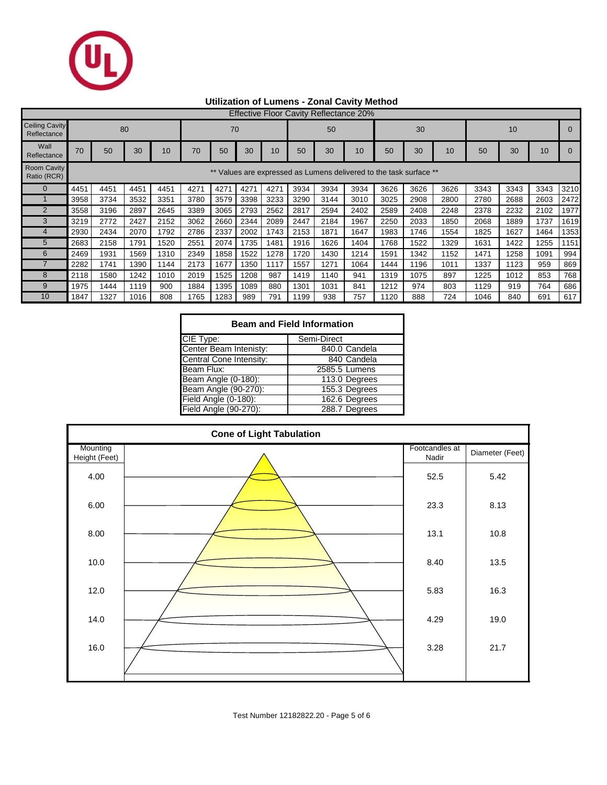

## **Utilization of Lumens - Zonal Cavity Method**

|                                      | <b>Effective Floor Cavity Reflectance 20%</b> |      |      |      |      |      |      |      |      |                                                                 |      |      |      |      |      |      |      |      |
|--------------------------------------|-----------------------------------------------|------|------|------|------|------|------|------|------|-----------------------------------------------------------------|------|------|------|------|------|------|------|------|
| <b>Ceiling Cavity</b><br>Reflectance | 80                                            |      |      |      | 70   |      |      | 50   |      |                                                                 | 30   |      |      | 10   |      |      |      |      |
| Wall<br>Reflectance                  | 70                                            | 50   | 30   | 10   | 70   | 50   | 30   | 10   | 50   | 30                                                              | 10   | 50   | 30   | 10   | 50   | 30   | 10   |      |
| <b>Room Cavity</b><br>Ratio (RCR)    |                                               |      |      |      |      |      |      |      |      | Values are expressed as Lumens delivered to the task surface ** |      |      |      |      |      |      |      |      |
|                                      | 4451                                          | 4451 | 4451 | 4451 | 4271 | 4271 | 4271 | 4271 | 3934 | 3934                                                            | 3934 | 3626 | 3626 | 3626 | 3343 | 3343 | 3343 | 3210 |
|                                      | 3958                                          | 3734 | 3532 | 3351 | 3780 | 3579 | 3398 | 3233 | 3290 | 3144                                                            | 3010 | 3025 | 2908 | 2800 | 2780 | 2688 | 2603 | 2472 |
| $\overline{2}$                       | 3558                                          | 3196 | 2897 | 2645 | 3389 | 3065 | 2793 | 2562 | 2817 | 2594                                                            | 2402 | 2589 | 2408 | 2248 | 2378 | 2232 | 2102 | 1977 |
| 3                                    | 3219                                          | 2772 | 2427 | 2152 | 3062 | 2660 | 2344 | 2089 | 2447 | 2184                                                            | 1967 | 2250 | 2033 | 1850 | 2068 | 1889 | 1737 | 1619 |
|                                      | 2930                                          | 2434 | 2070 | 1792 | 2786 | 2337 | 2002 | 1743 | 2153 | 1871                                                            | 1647 | 1983 | 1746 | 1554 | 1825 | 1627 | 1464 | 1353 |
| 5                                    | 2683                                          | 2158 | 1791 | 1520 | 2551 | 2074 | 1735 | 1481 | 1916 | 1626                                                            | 1404 | 1768 | 1522 | 1329 | 1631 | 1422 | 1255 | 1151 |
| 6                                    | 2469                                          | 1931 | 1569 | 1310 | 2349 | 1858 | 1522 | 1278 | 1720 | 1430                                                            | 1214 | 1591 | 1342 | 1152 | 1471 | 1258 | 1091 | 994  |
|                                      | 2282                                          | 1741 | 1390 | 1144 | 2173 | 1677 | 1350 | 1117 | 1557 | 1271                                                            | 1064 | 1444 | 1196 | 1011 | 1337 | 1123 | 959  | 869  |
| 8                                    | 2118                                          | 1580 | 1242 | 1010 | 2019 | 1525 | 1208 | 987  | 1419 | 1140                                                            | 941  | 1319 | 1075 | 897  | 1225 | 1012 | 853  | 768  |
| 9                                    | 1975                                          | 1444 | 1119 | 900  | 1884 | 1395 | 1089 | 880  | 1301 | 1031                                                            | 841  | 1212 | 974  | 803  | 1129 | 919  | 764  | 686  |
| 10 <sup>°</sup>                      | 1847                                          | 1327 | 1016 | 808  | 1765 | 1283 | 989  | 791  | 1199 | 938                                                             | 757  | 1120 | 888  | 724  | 1046 | 840  | 691  | 617  |

| <b>Beam and Field Information</b> |               |  |  |  |  |  |  |  |
|-----------------------------------|---------------|--|--|--|--|--|--|--|
| CIE Type:                         | Semi-Direct   |  |  |  |  |  |  |  |
| Center Beam Intenisty:            | 840.0 Candela |  |  |  |  |  |  |  |
| Central Cone Intensity:           | 840 Candela   |  |  |  |  |  |  |  |
| Beam Flux:                        | 2585.5 Lumens |  |  |  |  |  |  |  |
| Beam Angle (0-180):               | 113.0 Degrees |  |  |  |  |  |  |  |
| Beam Angle (90-270):              | 155.3 Degrees |  |  |  |  |  |  |  |
| Field Angle (0-180):              | 162.6 Degrees |  |  |  |  |  |  |  |
| Field Angle (90-270):             | 288.7 Degrees |  |  |  |  |  |  |  |